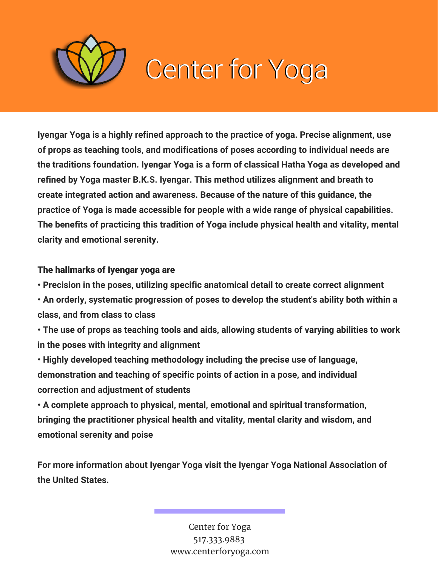

**Iyengar Yoga is a highly refined approach to the practice of yoga. Precise alignment, use of props as teaching tools, and modifications of poses according to individual needs are the traditions foundation. Iyengar Yoga is a form of classical Hatha Yoga as developed and refined by Yoga master B.K.S. Iyengar. This method utilizes alignment and breath to create integrated action and awareness. Because of the nature of this guidance, the practice of Yoga is made accessible for people with a wide range of physical capabilities. The benefits of practicing this tradition of Yoga include physical health and vitality, mental clarity and emotional serenity.**

### The hallmarks of Iyengar yoga are

**• Precision in the poses, utilizing specific anatomical detail to create correct alignment**

**• An orderly, systematic progression of poses to develop the student's ability both within a class, and from class to class**

**• The use of props as teaching tools and aids, allowing students of varying abilities to work in the poses with integrity and alignment**

**• Highly developed teaching methodology including the precise use of language, demonstration and teaching of specific points of action in a pose, and individual correction and adjustment of students**

**• A complete approach to physical, mental, emotional and spiritual transformation, bringing the practitioner physical health and vitality, mental clarity and wisdom, and emotional serenity and poise**

**For more information about Iyengar Yoga visit the Iyengar Yoga National Association of the United States.**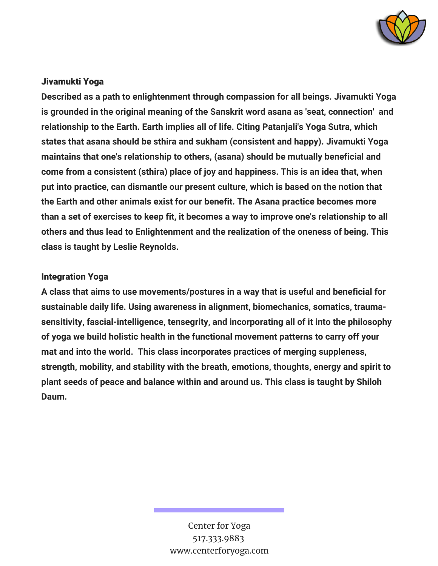

### Jivamukti Yoga

**Described as a path to enlightenment through compassion for all beings. Jivamukti Yoga is grounded in the original meaning of the Sanskrit word asana as 'seat, connection' and relationship to the Earth. Earth implies all of life. Citing Patanjali's Yoga Sutra, which states that asana should be sthira and sukham (consistent and happy). Jivamukti Yoga maintains that one's relationship to others, (asana) should be mutually beneficial and come from a consistent (sthira) place of joy and happiness. This is an idea that, when put into practice, can dismantle our present culture, which is based on the notion that the Earth and other animals exist for our benefit. The Asana practice becomes more than a set of exercises to keep fit, it becomes a way to improve one's relationship to all others and thus lead to Enlightenment and the realization of the oneness of being. This class is taught by Leslie Reynolds.**

### Integration Yoga

**A class that aims to use movements/postures in a way that is useful and beneficial for sustainable daily life. Using awareness in alignment, biomechanics, somatics, traumasensitivity, fascial-intelligence, tensegrity, and incorporating all of it into the philosophy of yoga we build holistic health in the functional movement patterns to carry off your mat and into the world. This class incorporates practices of merging suppleness, strength, mobility, and stability with the breath, emotions, thoughts, energy and spirit to plant seeds of peace and balance within and around us. This class is taught by Shiloh Daum.**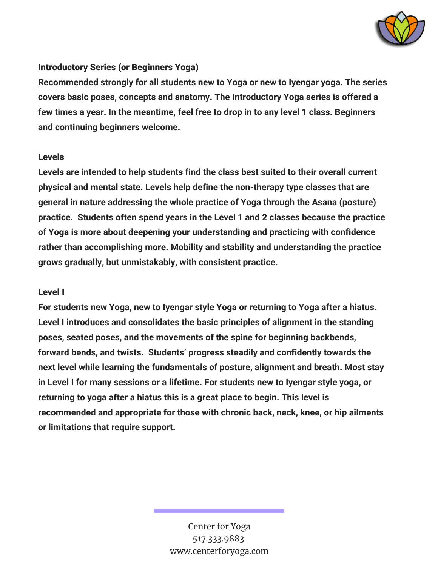

### Introductory Series (or Beginners Yoga)

**Recommended strongly for all students new to Yoga or new to Iyengar yoga. The series covers basic poses, concepts and anatomy. The Introductory Yoga series is offered a few times a year. In the meantime, feel free to drop in to any level 1 class. Beginners and continuing beginners welcome.**

#### Levels

**Levels are intended to help students find the class best suited to their overall current physical and mental state. Levels help define the non-therapy type classes that are general in nature addressing the whole practice of Yoga through the Asana (posture) practice. Students often spend years in the Level 1 and 2 classes because the practice of Yoga is more about deepening your understanding and practicing with confidence rather than accomplishing more. Mobility and stability and understanding the practice grows gradually, but unmistakably, with consistent practice.**

### Level I

**For students new Yoga, new to Iyengar style Yoga or returning to Yoga after a hiatus. Level I introduces and consolidates the basic principles of alignment in the standing poses, seated poses, and the movements of the spine for beginning backbends, forward bends, and twists. Students' progress steadily and confidently towards the next level while learning the fundamentals of posture, alignment and breath. Most stay in Level I for many sessions or a lifetime. For students new to Iyengar style yoga, or returning to yoga after a hiatus this is a great place to begin. This level is recommended and appropriate for those with chronic back, neck, knee, or hip ailments or limitations that require support.**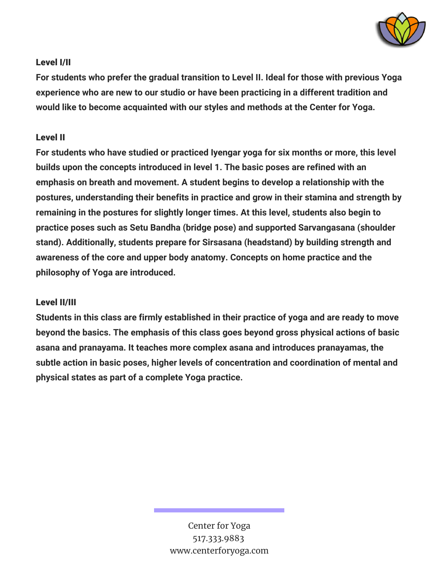

## Level I/II

**For students who prefer the gradual transition to Level II. Ideal for those with previous Yoga experience who are new to our studio or have been practicing in a different tradition and would like to become acquainted with our styles and methods at the Center for Yoga.**

### Level II

**For students who have studied or practiced Iyengar yoga for six months or more, this level builds upon the concepts introduced in level 1. The basic poses are refined with an emphasis on breath and movement. A student begins to develop a relationship with the postures, understanding their benefits in practice and grow in their stamina and strength by remaining in the postures for slightly longer times. At this level, students also begin to practice poses such as Setu Bandha (bridge pose) and supported Sarvangasana (shoulder stand). Additionally, students prepare for Sirsasana (headstand) by building strength and awareness of the core and upper body anatomy. Concepts on home practice and the philosophy of Yoga are introduced.**

# Level II/III

**Students in this class are firmly established in their practice of yoga and are ready to move beyond the basics. The emphasis of this class goes beyond gross physical actions of basic asana and pranayama. It teaches more complex asana and introduces pranayamas, the subtle action in basic poses, higher levels of concentration and coordination of mental and physical states as part of a complete Yoga practice.**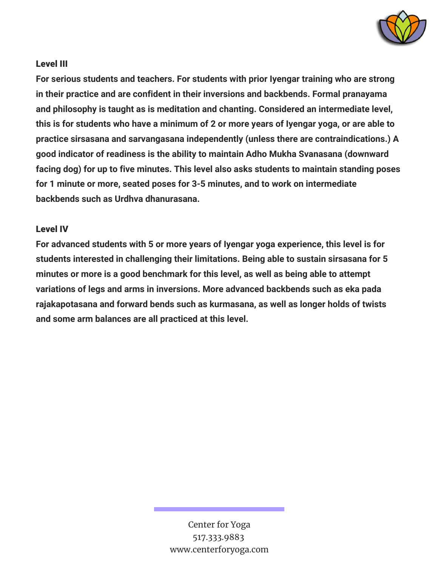

### Level III

**For serious students and teachers. For students with prior Iyengar training who are strong in their practice and are confident in their inversions and backbends. Formal pranayama and philosophy is taught as is meditation and chanting. Considered an intermediate level,** this is for students who have a minimum of 2 or more years of Iyengar yoga, or are able to **practice sirsasana and sarvangasana independently (unless there are contraindications.) A good indicator of readiness is the ability to maintain Adho Mukha Svanasana (downward facing dog) for up to five minutes. This level also asks students to maintain standing poses for 1 minute or more, seated poses for 3-5 minutes, and to work on intermediate backbends such as Urdhva dhanurasana.**

### Level IV

**For advanced students with 5 or more years of Iyengar yoga experience, this level is for students interested in challenging their limitations. Being able to sustain sirsasana for 5 minutes or more is a good benchmark for this level, as well as being able to attempt variations of legs and arms in inversions. More advanced backbends such as eka pada rajakapotasana and forward bends such as kurmasana, as well as longer holds of twists and some arm balances are all practiced at this level.**